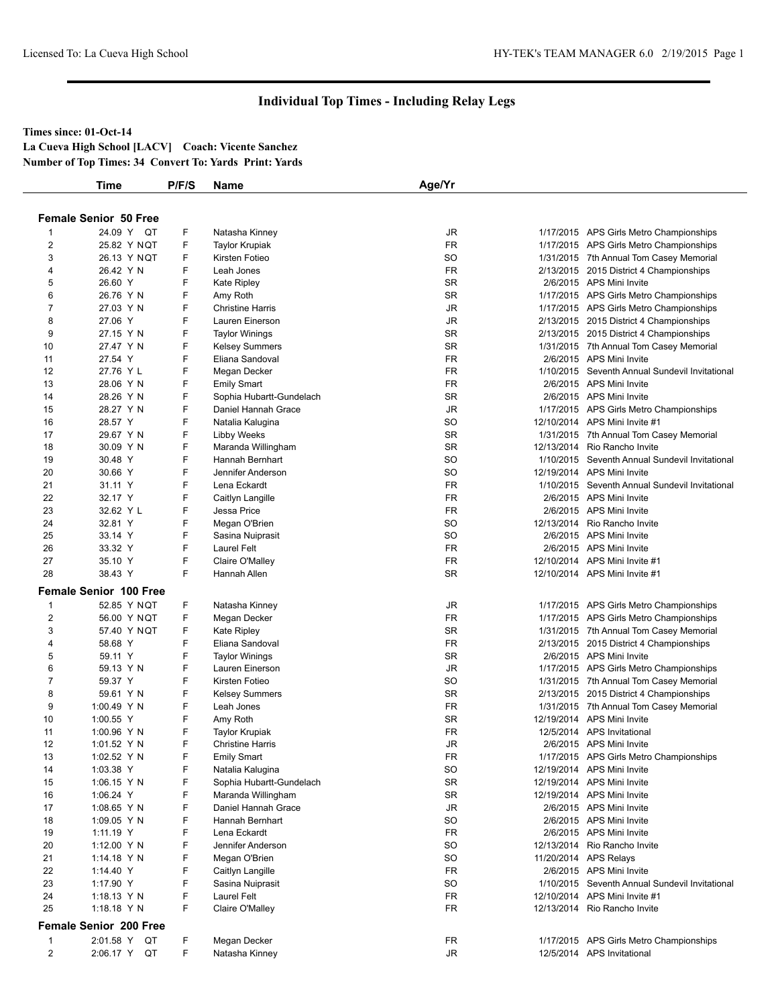#### **Times since: 01-Oct-14**

**La Cueva High School [LACV] Coach: Vicente Sanchez Number of Top Times: 34 Convert To: Yards Print: Yards**

|                | Time                          | P/F/S | Name                     | Age/Yr    |                                                      |
|----------------|-------------------------------|-------|--------------------------|-----------|------------------------------------------------------|
|                |                               |       |                          |           |                                                      |
|                | <b>Female Senior 50 Free</b>  |       |                          |           |                                                      |
|                | 24.09 Y QT                    | F     | Natasha Kinney           | JR        | 1/17/2015 APS Girls Metro Championships              |
| 2              | 25.82 Y NQT                   | F     | <b>Taylor Krupiak</b>    | <b>FR</b> | 1/17/2015 APS Girls Metro Championships              |
| 3              | 26.13 Y NQT                   | F     | Kirsten Fotieo           | SO        | 1/31/2015 7th Annual Tom Casey Memorial              |
| 4              | 26.42 Y N                     | F     | Leah Jones               | FR        | 2/13/2015 2015 District 4 Championships              |
| 5              | 26.60 Y                       | F     | <b>Kate Ripley</b>       | <b>SR</b> | 2/6/2015 APS Mini Invite                             |
| 6              | 26.76 Y N                     | F     | Amy Roth                 | SR        | 1/17/2015 APS Girls Metro Championships              |
| $\overline{7}$ | 27.03 Y N                     | F     | <b>Christine Harris</b>  | JR        | 1/17/2015 APS Girls Metro Championships              |
| 8              | 27.06 Y                       | F     | Lauren Einerson          | JR        | 2/13/2015 2015 District 4 Championships              |
| 9              | 27.15 Y N                     | F     | <b>Taylor Winings</b>    | <b>SR</b> | 2/13/2015 2015 District 4 Championships              |
| 10             | 27.47 Y N                     | F     | <b>Kelsey Summers</b>    | <b>SR</b> | 1/31/2015 7th Annual Tom Casey Memorial              |
| 11             | 27.54 Y                       | F     | Eliana Sandoval          | FR        | 2/6/2015 APS Mini Invite                             |
| 12             | 27.76 Y L                     | F     | Megan Decker             | FR        | 1/10/2015 Seventh Annual Sundevil Invitational       |
| 13             | 28.06 Y N                     | F     | <b>Emily Smart</b>       | FR        | 2/6/2015 APS Mini Invite                             |
| 14             | 28.26 Y N                     | F     | Sophia Hubartt-Gundelach | <b>SR</b> | 2/6/2015 APS Mini Invite                             |
| 15             | 28.27 Y N                     | F     | Daniel Hannah Grace      | JR        | 1/17/2015 APS Girls Metro Championships              |
| 16             | 28.57 Y                       | F     | Natalia Kalugina         | SO        | 12/10/2014 APS Mini Invite #1                        |
| 17             | 29.67 Y N                     | F     | <b>Libby Weeks</b>       | <b>SR</b> | 1/31/2015 7th Annual Tom Casey Memorial              |
| 18             | 30.09 Y N                     | F     | Maranda Willingham       | <b>SR</b> | 12/13/2014 Rio Rancho Invite                         |
| 19             | 30.48 Y                       | F     | Hannah Bernhart          | <b>SO</b> | 1/10/2015 Seventh Annual Sundevil Invitational       |
| 20             | 30.66 Y                       | F     | Jennifer Anderson        | SO        | 12/19/2014 APS Mini Invite                           |
| 21             | 31.11 Y                       | F     | Lena Eckardt             | <b>FR</b> | 1/10/2015 Seventh Annual Sundevil Invitational       |
| 22             | 32.17 Y                       | F     | Caitlyn Langille         | FR        | 2/6/2015 APS Mini Invite                             |
| 23             | 32.62 Y L                     | F     | Jessa Price              | FR        | 2/6/2015 APS Mini Invite                             |
| 24             | 32.81 Y                       | F     | Megan O'Brien            | <b>SO</b> | 12/13/2014 Rio Rancho Invite                         |
| 25             | 33.14 Y                       | F     | Sasina Nuiprasit         | SO        | 2/6/2015 APS Mini Invite                             |
| 26             | 33.32 Y                       | F     | <b>Laurel Felt</b>       | FR        | 2/6/2015 APS Mini Invite                             |
| 27             | 35.10 Y                       | F     | Claire O'Malley          | <b>FR</b> | 12/10/2014 APS Mini Invite #1                        |
| 28             | 38.43 Y                       | F     | Hannah Allen             | <b>SR</b> | 12/10/2014 APS Mini Invite #1                        |
|                | <b>Female Senior 100 Free</b> |       |                          |           |                                                      |
| $\mathbf{1}$   | 52.85 Y NQT                   | F     | Natasha Kinney           | JR        | 1/17/2015 APS Girls Metro Championships              |
| 2              | 56.00 Y NQT                   | F     | Megan Decker             | FR        | 1/17/2015 APS Girls Metro Championships              |
| 3              | 57.40 Y NQT                   | F     | <b>Kate Ripley</b>       | <b>SR</b> | 1/31/2015 7th Annual Tom Casey Memorial              |
| 4              | 58.68 Y                       | F     | Eliana Sandoval          | FR        | 2/13/2015 2015 District 4 Championships              |
| 5              | 59.11 Y                       | F     | <b>Taylor Winings</b>    | SR        | 2/6/2015 APS Mini Invite                             |
| 6              | 59.13 Y N                     | F     | Lauren Einerson          | JR        | 1/17/2015 APS Girls Metro Championships              |
| $\overline{7}$ | 59.37 Y                       | F     | Kirsten Fotieo           | SO        | 1/31/2015 7th Annual Tom Casey Memorial              |
| 8              | 59.61 Y N                     | F     | <b>Kelsey Summers</b>    | <b>SR</b> | 2/13/2015 2015 District 4 Championships              |
| 9              | 1:00.49 Y N                   | F     | Leah Jones               | <b>FR</b> | 1/31/2015 7th Annual Tom Casey Memorial              |
| 10             | 1:00.55 Y                     | F     | Amy Roth                 | SR        | 12/19/2014 APS Mini Invite                           |
| 11             | 1:00.96 $Y$ N                 | F     | <b>Taylor Krupiak</b>    | <b>FR</b> | 12/5/2014 APS Invitational                           |
| 12             | 1:01.52 Y N                   | F     | <b>Christine Harris</b>  | <b>JR</b> | 2/6/2015 APS Mini Invite                             |
| 13             | 1:02.52 Y N                   | F     | <b>Emily Smart</b>       | FR        | 1/17/2015 APS Girls Metro Championships              |
| 14             | 1:03.38 Y                     | F     | Natalia Kalugina         | <b>SO</b> | 12/19/2014 APS Mini Invite                           |
| 15             | 1:06.15 Y N                   | F     | Sophia Hubartt-Gundelach | <b>SR</b> | 12/19/2014 APS Mini Invite                           |
|                |                               | F     | Maranda Willingham       | <b>SR</b> | 12/19/2014 APS Mini Invite                           |
| 16             | 1:06.24 Y                     | F     | Daniel Hannah Grace      |           |                                                      |
| 17<br>18       | 1:08.65 $Y$ N                 | F     | Hannah Bernhart          | JR<br>SO  | 2/6/2015 APS Mini Invite<br>2/6/2015 APS Mini Invite |
|                | 1:09.05 Y N                   |       |                          |           |                                                      |
| 19             | 1:11.19 Y                     | F     | Lena Eckardt             | FR        | 2/6/2015 APS Mini Invite                             |
| 20             | 1:12.00 Y N                   | F     | Jennifer Anderson        | SO        | 12/13/2014 Rio Rancho Invite                         |
| 21             | 1:14.18 $Y$ N                 | F     | Megan O'Brien            | <b>SO</b> | 11/20/2014 APS Relays                                |
| 22             | 1:14.40 Y                     | F     | Caitlyn Langille         | <b>FR</b> | 2/6/2015 APS Mini Invite                             |
|                | 1:17.90 Y                     | F     | Sasina Nuiprasit         | SO        | 1/10/2015 Seventh Annual Sundevil Invitational       |
| 23             |                               |       | Laurel Felt              | <b>FR</b> | 12/10/2014 APS Mini Invite #1                        |
| 24             | 1:18.13 Y N                   | F     |                          |           |                                                      |
| 25             | 1:18.18 $Y$ N                 | F     | Claire O'Malley          | FR        | 12/13/2014 Rio Rancho Invite                         |
|                | <b>Female Senior 200 Free</b> |       |                          |           |                                                      |
| $\mathbf{1}$   | 2:01.58 Y QT                  | F     | Megan Decker             | FR        | 1/17/2015 APS Girls Metro Championships              |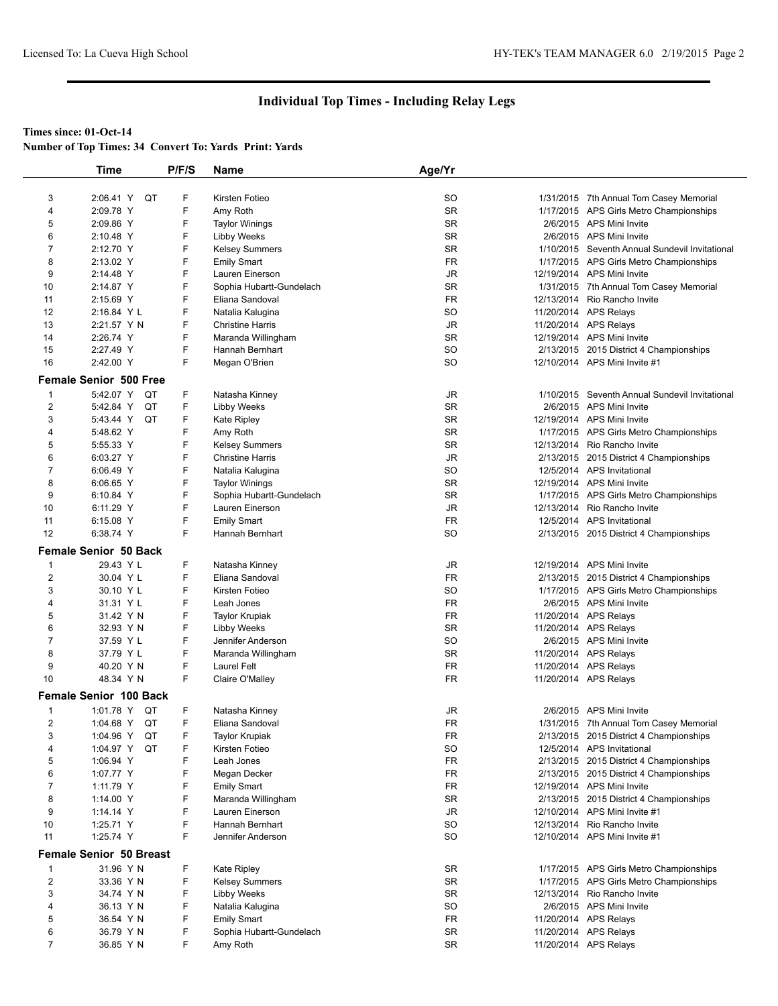#### **Times since: 01-Oct-14**

|                         | <b>Time</b>                    | P/F/S | Name                     | Age/Yr                 |                                                |
|-------------------------|--------------------------------|-------|--------------------------|------------------------|------------------------------------------------|
|                         |                                |       |                          |                        |                                                |
| 3                       | 2:06.41 Y<br>QT                | F     | Kirsten Fotieo           | SO                     | 1/31/2015 7th Annual Tom Casey Memorial        |
| $\overline{4}$          | 2:09.78 Y                      | F     | Amy Roth                 | SR                     | 1/17/2015 APS Girls Metro Championships        |
| 5                       | 2:09.86 Y                      | F     | <b>Taylor Winings</b>    | <b>SR</b>              | 2/6/2015 APS Mini Invite                       |
| 6                       | 2:10.48 Y                      | F     | <b>Libby Weeks</b>       | <b>SR</b>              | 2/6/2015 APS Mini Invite                       |
| $\overline{7}$          | 2:12.70 Y                      | F     | <b>Kelsey Summers</b>    | SR                     | 1/10/2015 Seventh Annual Sundevil Invitational |
| 8                       | 2:13.02 Y                      | F     | <b>Emily Smart</b>       | <b>FR</b>              | 1/17/2015 APS Girls Metro Championships        |
| 9                       | 2:14.48 Y                      | F     | Lauren Einerson          | JR.                    | 12/19/2014 APS Mini Invite                     |
| 10                      | 2:14.87 Y                      | F     | Sophia Hubartt-Gundelach | SR                     | 1/31/2015 7th Annual Tom Casey Memorial        |
| 11                      | 2:15.69 Y                      | F     | Eliana Sandoval          | <b>FR</b>              | 12/13/2014 Rio Rancho Invite                   |
| 12                      | 2:16.84 YL                     | F     | Natalia Kalugina         | SO                     | 11/20/2014 APS Relays                          |
| 13                      | 2:21.57 Y N                    | F     | <b>Christine Harris</b>  | JR                     | 11/20/2014 APS Relays                          |
| 14                      | 2:26.74 Y                      | F     | Maranda Willingham       | <b>SR</b>              | 12/19/2014 APS Mini Invite                     |
| 15                      | 2:27.49 Y                      | F     | Hannah Bernhart          | <b>SO</b>              | 2/13/2015 2015 District 4 Championships        |
| 16                      | 2:42.00 Y                      | F     |                          | SO                     | 12/10/2014 APS Mini Invite #1                  |
|                         |                                |       | Megan O'Brien            |                        |                                                |
|                         | <b>Female Senior 500 Free</b>  |       |                          |                        |                                                |
| 1                       | 5:42.07 Y QT                   | F     | Natasha Kinney           | JR                     | 1/10/2015 Seventh Annual Sundevil Invitational |
| $\overline{2}$          | 5:42.84 Y<br>QT                | F     | <b>Libby Weeks</b>       | <b>SR</b>              | 2/6/2015 APS Mini Invite                       |
| 3                       | 5:43.44 Y<br>QT                | F     | <b>Kate Ripley</b>       | <b>SR</b>              | 12/19/2014 APS Mini Invite                     |
| 4                       | 5:48.62 Y                      | F     | Amy Roth                 | <b>SR</b>              | 1/17/2015 APS Girls Metro Championships        |
| 5                       | 5:55.33 Y                      | F     | <b>Kelsey Summers</b>    | SR                     | 12/13/2014 Rio Rancho Invite                   |
| 6                       | 6:03.27 Y                      | F     | <b>Christine Harris</b>  | $\mathsf{J}\mathsf{R}$ | 2/13/2015 2015 District 4 Championships        |
| $\overline{7}$          | 6:06.49 Y                      | F     | Natalia Kalugina         | SO                     | 12/5/2014 APS Invitational                     |
| 8                       | 6:06.65 Y                      | F     | <b>Taylor Winings</b>    | <b>SR</b>              | 12/19/2014 APS Mini Invite                     |
| 9                       | 6:10.84 Y                      | F     | Sophia Hubartt-Gundelach | SR                     | 1/17/2015 APS Girls Metro Championships        |
| 10                      | 6:11.29 Y                      | F     | Lauren Einerson          | JR                     | 12/13/2014 Rio Rancho Invite                   |
| 11                      | 6:15.08 Y                      | F     | <b>Emily Smart</b>       | <b>FR</b>              | 12/5/2014 APS Invitational                     |
| 12                      | 6:38.74 Y                      | F     | Hannah Bernhart          | <b>SO</b>              | 2/13/2015 2015 District 4 Championships        |
|                         |                                |       |                          |                        |                                                |
|                         | <b>Female Senior 50 Back</b>   |       |                          |                        |                                                |
| -1                      | 29.43 Y L                      | F     | Natasha Kinney           | JR                     | 12/19/2014 APS Mini Invite                     |
| $\overline{\mathbf{c}}$ | 30.04 Y L                      | F     | Eliana Sandoval          | <b>FR</b>              | 2/13/2015 2015 District 4 Championships        |
| 3                       | 30.10 Y L                      | F     | Kirsten Fotieo           | <b>SO</b>              | 1/17/2015 APS Girls Metro Championships        |
| 4                       | 31.31 Y L                      | F     | Leah Jones               | FR                     | 2/6/2015 APS Mini Invite                       |
| 5                       | 31.42 Y N                      | F     | <b>Taylor Krupiak</b>    | FR                     | 11/20/2014 APS Relays                          |
| 6                       | 32.93 Y N                      | F     | <b>Libby Weeks</b>       | <b>SR</b>              | 11/20/2014 APS Relays                          |
| $\overline{7}$          | 37.59 Y L                      | F     | Jennifer Anderson        | SO                     | 2/6/2015 APS Mini Invite                       |
| 8                       | 37.79 Y L                      | F     | Maranda Willingham       | SR                     | 11/20/2014 APS Relays                          |
| 9                       | 40.20 Y N                      | F     | Laurel Felt              | FR                     | 11/20/2014 APS Relays                          |
| 10                      | 48.34 Y N                      | F     | Claire O'Malley          | <b>FR</b>              | 11/20/2014 APS Relays                          |
|                         | <b>Female Senior 100 Back</b>  |       |                          |                        |                                                |
|                         |                                |       |                          |                        |                                                |
| 1                       | 1:01.78 Y<br>QT                | F     | Natasha Kinney           | JR                     | 2/6/2015 APS Mini Invite                       |
| $\overline{2}$          | 1:04.68 Y QT                   | F     | Eliana Sandoval          | <b>FR</b>              | 1/31/2015 7th Annual Tom Casey Memorial        |
| 3                       | 1:04.96 Y<br>QT                | F     | Taylor Krupiak           | FR                     | 2/13/2015 2015 District 4 Championships        |
| 4                       | 1:04.97 Y QT                   | F     | Kirsten Fotieo           | SO                     | 12/5/2014 APS Invitational                     |
| 5                       | 1:06.94 Y                      | F     | Leah Jones               | FR                     | 2/13/2015 2015 District 4 Championships        |
| 6                       | 1:07.77 Y                      | F     | Megan Decker             | FR                     | 2/13/2015 2015 District 4 Championships        |
| $\overline{7}$          | 1:11.79 Y                      | F     | <b>Emily Smart</b>       | FR                     | 12/19/2014 APS Mini Invite                     |
| 8                       | 1:14.00 Y                      | F     | Maranda Willingham       | SR                     | 2/13/2015 2015 District 4 Championships        |
| 9                       | 1:14.14 Y                      | F     | Lauren Einerson          | JR                     | 12/10/2014 APS Mini Invite #1                  |
| 10                      | 1:25.71 Y                      | F     | Hannah Bernhart          | SO                     | 12/13/2014 Rio Rancho Invite                   |
| 11                      | 1:25.74 Y                      | F     | Jennifer Anderson        | SO                     | 12/10/2014 APS Mini Invite #1                  |
|                         | <b>Female Senior 50 Breast</b> |       |                          |                        |                                                |
| 1                       | 31.96 Y N                      | F     | <b>Kate Ripley</b>       | SR                     | 1/17/2015 APS Girls Metro Championships        |
| $\overline{2}$          | 33.36 Y N                      | F     | <b>Kelsey Summers</b>    | SR                     | 1/17/2015 APS Girls Metro Championships        |
| 3                       | 34.74 Y N                      | F     | <b>Libby Weeks</b>       | <b>SR</b>              | 12/13/2014 Rio Rancho Invite                   |
| 4                       | 36.13 Y N                      | F     | Natalia Kalugina         | <b>SO</b>              | 2/6/2015 APS Mini Invite                       |
| 5                       | 36.54 Y N                      | F     | <b>Emily Smart</b>       | FR                     | 11/20/2014 APS Relays                          |
| 6                       | 36.79 Y N                      | F     | Sophia Hubartt-Gundelach | SR                     | 11/20/2014 APS Relays                          |
| $\overline{7}$          | 36.85 Y N                      | F     | Amy Roth                 | SR                     | 11/20/2014 APS Relays                          |
|                         |                                |       |                          |                        |                                                |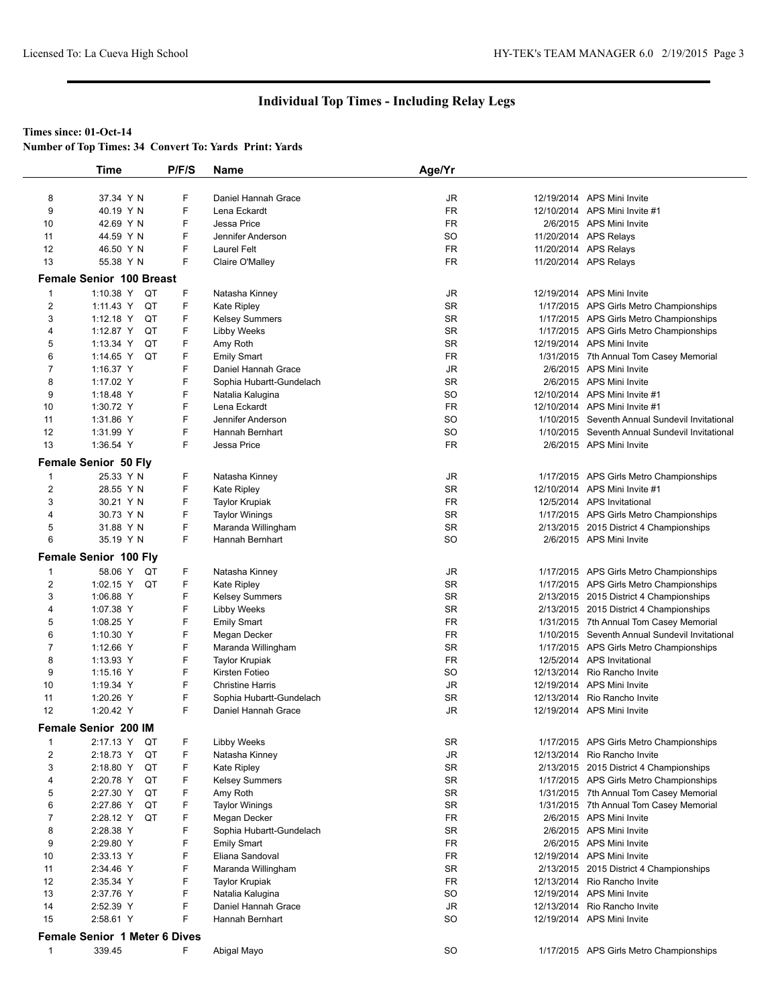#### **Times since: 01-Oct-14**

|  |  |  | <b>Number of Top Times: 34 Convert To: Yards Print: Yards</b> |  |
|--|--|--|---------------------------------------------------------------|--|
|--|--|--|---------------------------------------------------------------|--|

|                         | <b>Time</b>                          | P/F/S | Name                     | Age/Yr                 |                                                |
|-------------------------|--------------------------------------|-------|--------------------------|------------------------|------------------------------------------------|
|                         |                                      |       |                          |                        |                                                |
| 8                       | 37.34 Y N                            | F     | Daniel Hannah Grace      | JR                     | 12/19/2014 APS Mini Invite                     |
| 9                       | 40.19 Y N                            | F     | Lena Eckardt             | <b>FR</b>              | 12/10/2014 APS Mini Invite #1                  |
| 10                      | 42.69 Y N                            | F     | Jessa Price              | <b>FR</b>              | 2/6/2015 APS Mini Invite                       |
| 11                      | 44.59 Y N                            | F     | Jennifer Anderson        | SO                     | 11/20/2014 APS Relays                          |
| 12                      | 46.50 Y N                            | F     | <b>Laurel Felt</b>       | FR                     | 11/20/2014 APS Relays                          |
| 13                      | 55.38 Y N                            | F     | Claire O'Malley          | <b>FR</b>              | 11/20/2014 APS Relays                          |
|                         | <b>Female Senior 100 Breast</b>      |       |                          |                        |                                                |
| $\mathbf 1$             | 1:10.38 Y<br>QT                      | F     | Natasha Kinney           | JR                     | 12/19/2014 APS Mini Invite                     |
| $\overline{2}$          | QT<br>1:11.43 Y                      | F     | <b>Kate Ripley</b>       | <b>SR</b>              | 1/17/2015 APS Girls Metro Championships        |
| 3                       | $1:12.18$ Y<br>QT                    | F     | <b>Kelsey Summers</b>    | <b>SR</b>              | 1/17/2015 APS Girls Metro Championships        |
| 4                       | QT<br>1:12.87 Y                      | F     | <b>Libby Weeks</b>       | SR                     | 1/17/2015 APS Girls Metro Championships        |
| 5                       | QT<br>1:13.34 Y                      | F     | Amy Roth                 | <b>SR</b>              | 12/19/2014 APS Mini Invite                     |
| 6                       | 1:14.65 Y<br>QT                      | F     | <b>Emily Smart</b>       | FR                     | 1/31/2015 7th Annual Tom Casey Memorial        |
| 7                       | 1:16.37 Y                            | F     | Daniel Hannah Grace      | JR                     | 2/6/2015 APS Mini Invite                       |
| 8                       | 1:17.02 Y                            | F     | Sophia Hubartt-Gundelach | <b>SR</b>              | 2/6/2015 APS Mini Invite                       |
| 9                       | 1:18.48 Y                            | F     | Natalia Kalugina         | <b>SO</b>              | 12/10/2014 APS Mini Invite #1                  |
| 10                      | 1:30.72 Y                            | F     | Lena Eckardt             | FR                     | 12/10/2014 APS Mini Invite #1                  |
| 11                      | 1:31.86 Y                            | F     | Jennifer Anderson        | SO                     | 1/10/2015 Seventh Annual Sundevil Invitational |
| 12                      | 1:31.99 Y                            | F     | Hannah Bernhart          | SO                     | 1/10/2015 Seventh Annual Sundevil Invitational |
| 13                      | 1:36.54 Y                            | F     | Jessa Price              | <b>FR</b>              | 2/6/2015 APS Mini Invite                       |
|                         |                                      |       |                          |                        |                                                |
| $\mathbf 1$             | Female Senior 50 Fly<br>25.33 Y N    | F     | Natasha Kinney           | JR                     | 1/17/2015 APS Girls Metro Championships        |
| $\overline{2}$          | 28.55 Y N                            | F     | <b>Kate Ripley</b>       | SR                     | 12/10/2014 APS Mini Invite #1                  |
|                         |                                      |       |                          |                        |                                                |
| 3                       | 30.21 Y N                            | F     | <b>Taylor Krupiak</b>    | <b>FR</b>              | 12/5/2014 APS Invitational                     |
| 4                       | 30.73 Y N                            | F     | <b>Taylor Winings</b>    | SR                     | 1/17/2015 APS Girls Metro Championships        |
| 5                       | 31.88 Y N                            | F     | Maranda Willingham       | <b>SR</b>              | 2/13/2015 2015 District 4 Championships        |
| 6                       | 35.19 Y N                            | F     | Hannah Bernhart          | <b>SO</b>              | 2/6/2015 APS Mini Invite                       |
|                         | <b>Female Senior 100 Fly</b>         |       |                          |                        |                                                |
| $\mathbf{1}$            | 58.06 Y<br>QT                        | F     | Natasha Kinney           | JR                     | 1/17/2015 APS Girls Metro Championships        |
| $\overline{2}$          | 1:02.15 Y<br>QT                      | F     | <b>Kate Ripley</b>       | <b>SR</b>              | 1/17/2015 APS Girls Metro Championships        |
| 3                       | 1:06.88 Y                            | F     | <b>Kelsey Summers</b>    | SR                     | 2/13/2015 2015 District 4 Championships        |
| 4                       | 1:07.38 Y                            | F     | <b>Libby Weeks</b>       | SR                     | 2/13/2015 2015 District 4 Championships        |
| 5                       | 1:08.25 Y                            | F     | <b>Emily Smart</b>       | <b>FR</b>              | 1/31/2015 7th Annual Tom Casey Memorial        |
| 6                       | 1:10.30 Y                            | F     | Megan Decker             | FR                     | 1/10/2015 Seventh Annual Sundevil Invitational |
| 7                       | 1:12.66 Y                            | F     | Maranda Willingham       | SR                     | 1/17/2015 APS Girls Metro Championships        |
| 8                       | 1:13.93 Y                            | F     | <b>Taylor Krupiak</b>    | <b>FR</b>              | 12/5/2014 APS Invitational                     |
| 9                       | $1:15.16$ Y                          | F     | Kirsten Fotieo           | SO                     | 12/13/2014 Rio Rancho Invite                   |
| 10                      | 1:19.34 Y                            | F     | <b>Christine Harris</b>  | JR                     | 12/19/2014 APS Mini Invite                     |
| 11                      | 1:20.26 Y                            | F     | Sophia Hubartt-Gundelach | <b>SR</b>              | 12/13/2014 Rio Rancho Invite                   |
| 12                      | 1:20.42 Y                            | F     | Daniel Hannah Grace      | JR                     | 12/19/2014 APS Mini Invite                     |
|                         | Female Senior 200 IM                 |       |                          |                        |                                                |
| 1                       | 2:17.13 Y<br>QT                      | F     | <b>Libby Weeks</b>       | SR                     | 1/17/2015 APS Girls Metro Championships        |
| $\overline{\mathbf{c}}$ | QT<br>2:18.73 Y                      | F     | Natasha Kinney           | $\mathsf{J}\mathsf{R}$ | 12/13/2014 Rio Rancho Invite                   |
| 3                       | 2:18.80 Y<br>QT                      | F     | <b>Kate Ripley</b>       | SR                     | 2/13/2015 2015 District 4 Championships        |
| 4                       | QT<br>2:20.78 Y                      | F     | <b>Kelsey Summers</b>    | <b>SR</b>              | 1/17/2015 APS Girls Metro Championships        |
| 5                       | QT<br>2:27.30 Y                      | F     | Amy Roth                 | SR                     | 1/31/2015 7th Annual Tom Casey Memorial        |
| 6                       | 2:27.86 Y<br>QT                      | F     | <b>Taylor Winings</b>    | SR                     | 1/31/2015 7th Annual Tom Casey Memorial        |
| 7                       | QT<br>2:28.12 Y                      | F     | Megan Decker             | <b>FR</b>              | 2/6/2015 APS Mini Invite                       |
| 8                       | 2:28.38 Y                            | F     | Sophia Hubartt-Gundelach | SR                     | 2/6/2015 APS Mini Invite                       |
| 9                       | 2:29.80 Y                            | F     | <b>Emily Smart</b>       | FR                     | 2/6/2015 APS Mini Invite                       |
| 10                      | 2:33.13 Y                            | F     | Eliana Sandoval          | FR                     | 12/19/2014 APS Mini Invite                     |
| 11                      | 2:34.46 Y                            | F     | Maranda Willingham       | SR                     | 2/13/2015 2015 District 4 Championships        |
| 12                      | 2:35.34 Y                            | F     | <b>Taylor Krupiak</b>    | <b>FR</b>              | 12/13/2014 Rio Rancho Invite                   |
| 13                      | 2:37.76 Y                            | F     |                          | SO                     | 12/19/2014 APS Mini Invite                     |
|                         |                                      | F     | Natalia Kalugina         |                        |                                                |
| 14                      | 2:52.39 Y                            |       | Daniel Hannah Grace      | JR                     | 12/13/2014 Rio Rancho Invite                   |
| 15                      | 2:58.61 Y                            | F     | Hannah Bernhart          | <b>SO</b>              | 12/19/2014 APS Mini Invite                     |
|                         | <b>Female Senior 1 Meter 6 Dives</b> |       |                          |                        |                                                |
| $\mathbf{1}$            | 339.45                               | F.    | Abigal Mayo              | SO                     | 1/17/2015 APS Girls Metro Championships        |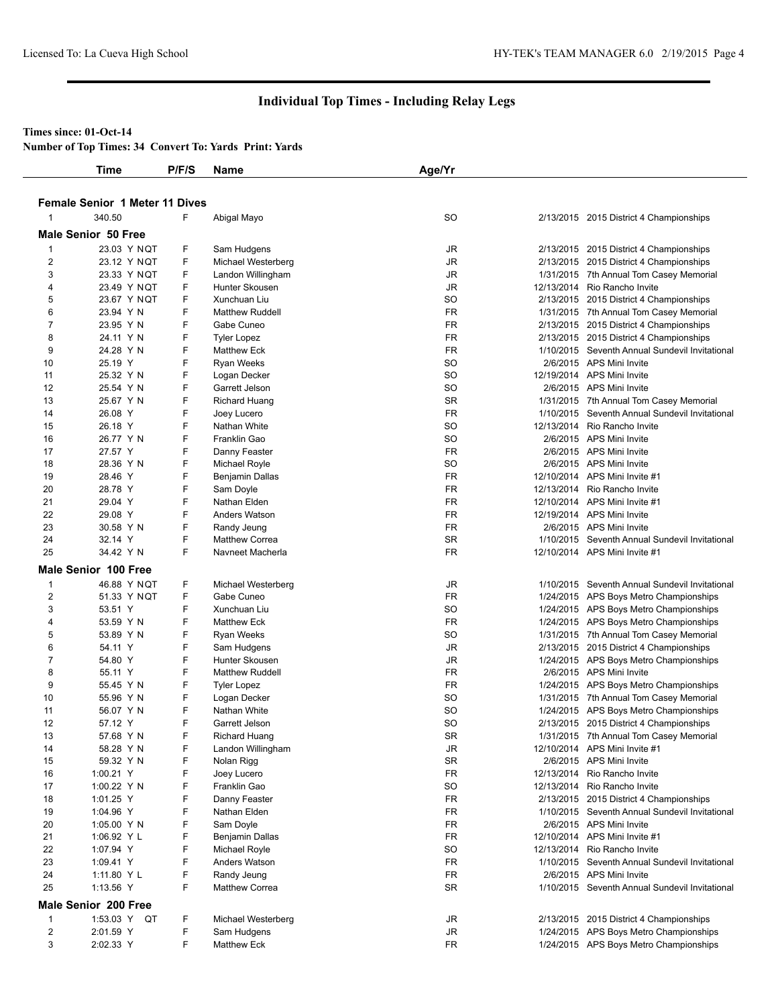#### **Times since: 01-Oct-14**

**Number of Top Times: 34 Convert To: Yards Print: Yards**

| <b>Male Senior 50 Free</b> | <b>Female Senior 1 Meter 11 Dives</b><br>340.50 |        |                                           |           |                                                                                           |
|----------------------------|-------------------------------------------------|--------|-------------------------------------------|-----------|-------------------------------------------------------------------------------------------|
|                            |                                                 |        |                                           |           |                                                                                           |
|                            |                                                 | F      | Abigal Mayo                               | <b>SO</b> | 2/13/2015 2015 District 4 Championships                                                   |
|                            |                                                 |        |                                           |           |                                                                                           |
| -1                         | 23.03 Y NQT                                     | F      | Sam Hudgens                               | JR        | 2/13/2015 2015 District 4 Championships                                                   |
| $\overline{\mathbf{c}}$    | 23.12 Y NQT                                     | F      | Michael Westerberg                        | JR        | 2/13/2015 2015 District 4 Championships                                                   |
| 3                          | 23.33 Y NQT                                     | F      | Landon Willingham                         | JR        | 1/31/2015 7th Annual Tom Casey Memorial                                                   |
| 4                          | 23.49 Y NQT                                     | F      | Hunter Skousen                            | JR        | 12/13/2014 Rio Rancho Invite                                                              |
| 5                          | 23.67 Y NQT                                     | F      | Xunchuan Liu                              | <b>SO</b> | 2/13/2015 2015 District 4 Championships                                                   |
| 6                          | 23.94 Y N                                       | F      | <b>Matthew Ruddell</b>                    | <b>FR</b> | 1/31/2015 7th Annual Tom Casey Memorial                                                   |
| 7                          | 23.95 Y N                                       | F      | Gabe Cuneo                                | FR        | 2/13/2015 2015 District 4 Championships                                                   |
| 8                          | 24.11 Y N                                       | F      | <b>Tyler Lopez</b>                        | <b>FR</b> | 2/13/2015 2015 District 4 Championships                                                   |
| 9                          | 24.28 Y N                                       | F      | <b>Matthew Eck</b>                        | <b>FR</b> | 1/10/2015 Seventh Annual Sundevil Invitational                                            |
| 10                         | 25.19 Y                                         | F      | <b>Ryan Weeks</b>                         | <b>SO</b> | 2/6/2015 APS Mini Invite                                                                  |
| 11                         | 25.32 Y N                                       | F      | Logan Decker                              | <b>SO</b> | 12/19/2014 APS Mini Invite                                                                |
| 12                         | 25.54 Y N                                       | F      | Garrett Jelson                            | <b>SO</b> | 2/6/2015 APS Mini Invite                                                                  |
| 13                         | 25.67 Y N                                       | F      | <b>Richard Huang</b>                      | <b>SR</b> | 1/31/2015 7th Annual Tom Casey Memorial                                                   |
| 14                         | 26.08 Y                                         | F      | Joey Lucero                               | <b>FR</b> | 1/10/2015 Seventh Annual Sundevil Invitational                                            |
| 15                         | 26.18 Y                                         | F      | Nathan White                              | <b>SO</b> | 12/13/2014 Rio Rancho Invite                                                              |
| 16                         | 26.77 Y N                                       | F      | Franklin Gao                              | <b>SO</b> | 2/6/2015 APS Mini Invite                                                                  |
| 17                         | 27.57 Y                                         | F      | Danny Feaster                             | <b>FR</b> | 2/6/2015 APS Mini Invite                                                                  |
| 18                         | 28.36 Y N                                       | F      | Michael Royle                             | <b>SO</b> | 2/6/2015 APS Mini Invite                                                                  |
| 19                         | 28.46 Y                                         | F      | Benjamin Dallas                           | <b>FR</b> | 12/10/2014 APS Mini Invite #1                                                             |
| 20                         | 28.78 Y                                         | F      | Sam Doyle                                 | <b>FR</b> | 12/13/2014 Rio Rancho Invite                                                              |
| 21                         | 29.04 Y                                         | F      | Nathan Elden                              | <b>FR</b> | 12/10/2014 APS Mini Invite #1                                                             |
| 22                         | 29.08 Y                                         | F      | Anders Watson                             | <b>FR</b> | 12/19/2014 APS Mini Invite                                                                |
| 23                         | 30.58 Y N                                       | F      | Randy Jeung                               | <b>FR</b> | 2/6/2015 APS Mini Invite                                                                  |
| 24                         | 32.14 Y                                         | F      | <b>Matthew Correa</b>                     | <b>SR</b> | 1/10/2015 Seventh Annual Sundevil Invitational                                            |
| 25                         | 34.42 Y N                                       | F      | Navneet Macherla                          | <b>FR</b> | 12/10/2014 APS Mini Invite #1                                                             |
|                            | <b>Male Senior 100 Free</b>                     |        |                                           |           |                                                                                           |
| -1                         | 46.88 Y NQT                                     | F      |                                           | JR        | 1/10/2015 Seventh Annual Sundevil Invitational                                            |
| $\overline{2}$             |                                                 | F      | Michael Westerberg<br>Gabe Cuneo          | <b>FR</b> |                                                                                           |
| 3                          | 51.33 Y NQT<br>53.51 Y                          | F      | Xunchuan Liu                              | <b>SO</b> | 1/24/2015 APS Boys Metro Championships                                                    |
| 4                          | 53.59 Y N                                       | F      | <b>Matthew Eck</b>                        | <b>FR</b> | 1/24/2015 APS Boys Metro Championships<br>1/24/2015 APS Boys Metro Championships          |
| 5                          | 53.89 Y N                                       | F      | <b>Ryan Weeks</b>                         | <b>SO</b> | 1/31/2015 7th Annual Tom Casey Memorial                                                   |
| 6                          | 54.11 Y                                         | F      |                                           | JR        |                                                                                           |
| 7                          | 54.80 Y                                         | F      | Sam Hudgens<br>Hunter Skousen             | JR        | 2/13/2015 2015 District 4 Championships<br>1/24/2015 APS Boys Metro Championships         |
| 8                          | 55.11 Y                                         | F      | <b>Matthew Ruddell</b>                    | <b>FR</b> | 2/6/2015 APS Mini Invite                                                                  |
| 9                          | 55.45 Y N                                       | F      |                                           | <b>FR</b> | 1/24/2015 APS Boys Metro Championships                                                    |
| 10                         | 55.96 Y N                                       | F      | <b>Tyler Lopez</b><br>Logan Decker        | <b>SO</b> | 1/31/2015 7th Annual Tom Casey Memorial                                                   |
| 11                         | 56.07 Y N                                       | F      | Nathan White                              | <b>SO</b> |                                                                                           |
| 12                         | 57.12 Y                                         | F      | Garrett Jelson                            | <b>SO</b> | 1/24/2015 APS Boys Metro Championships<br>2/13/2015 2015 District 4 Championships         |
|                            |                                                 | F      |                                           |           | 1/31/2015 7th Annual Tom Casey Memorial                                                   |
| 13<br>14                   | 57.68 Y N<br>58.28 Y N                          | F      | <b>Richard Huang</b><br>Landon Willingham | SR<br>JR  | 12/10/2014 APS Mini Invite #1                                                             |
| 15                         | 59.32 Y N                                       | F      | Nolan Rigg                                | SR        | 2/6/2015 APS Mini Invite                                                                  |
| 16                         | 1:00.21 Y                                       | F      | Joey Lucero                               | FR        | 12/13/2014 Rio Rancho Invite                                                              |
| 17                         |                                                 | F      | Franklin Gao                              | <b>SO</b> | 12/13/2014 Rio Rancho Invite                                                              |
|                            | 1:00.22 Y N<br>1:01.25 Y                        | F      |                                           | <b>FR</b> |                                                                                           |
| 18                         |                                                 | F      | Danny Feaster<br>Nathan Elden             | <b>FR</b> | 2/13/2015 2015 District 4 Championships<br>1/10/2015 Seventh Annual Sundevil Invitational |
| 19<br>20                   | 1:04.96 Y<br>1:05.00 Y N                        | F      | Sam Doyle                                 | FR        | 2/6/2015 APS Mini Invite                                                                  |
| 21                         | 1:06.92 Y L                                     | F      | <b>Benjamin Dallas</b>                    | <b>FR</b> | 12/10/2014 APS Mini Invite #1                                                             |
| 22                         | 1:07.94 Y                                       | F      | Michael Royle                             | <b>SO</b> | 12/13/2014 Rio Rancho Invite                                                              |
|                            |                                                 | F      |                                           | <b>FR</b> |                                                                                           |
| 23                         | 1:09.41 Y                                       |        | Anders Watson                             |           | 1/10/2015 Seventh Annual Sundevil Invitational                                            |
| 24                         | 1:11.80 Y L                                     | F<br>F | Randy Jeung                               | FR        | 2/6/2015 APS Mini Invite                                                                  |
| 25                         | 1:13.56 Y                                       |        | Matthew Correa                            | <b>SR</b> | 1/10/2015 Seventh Annual Sundevil Invitational                                            |
|                            | Male Senior 200 Free                            |        |                                           |           |                                                                                           |
| $\mathbf{1}$               | 1:53.03 Y QT                                    | F      | Michael Westerberg                        | JR        | 2/13/2015 2015 District 4 Championships                                                   |
| $\overline{2}$             | 2:01.59 Y                                       | F      | Sam Hudgens                               | JR        | 1/24/2015 APS Boys Metro Championships                                                    |
| 3                          | 2:02.33 Y                                       | F      | <b>Matthew Eck</b>                        | FR        | 1/24/2015 APS Boys Metro Championships                                                    |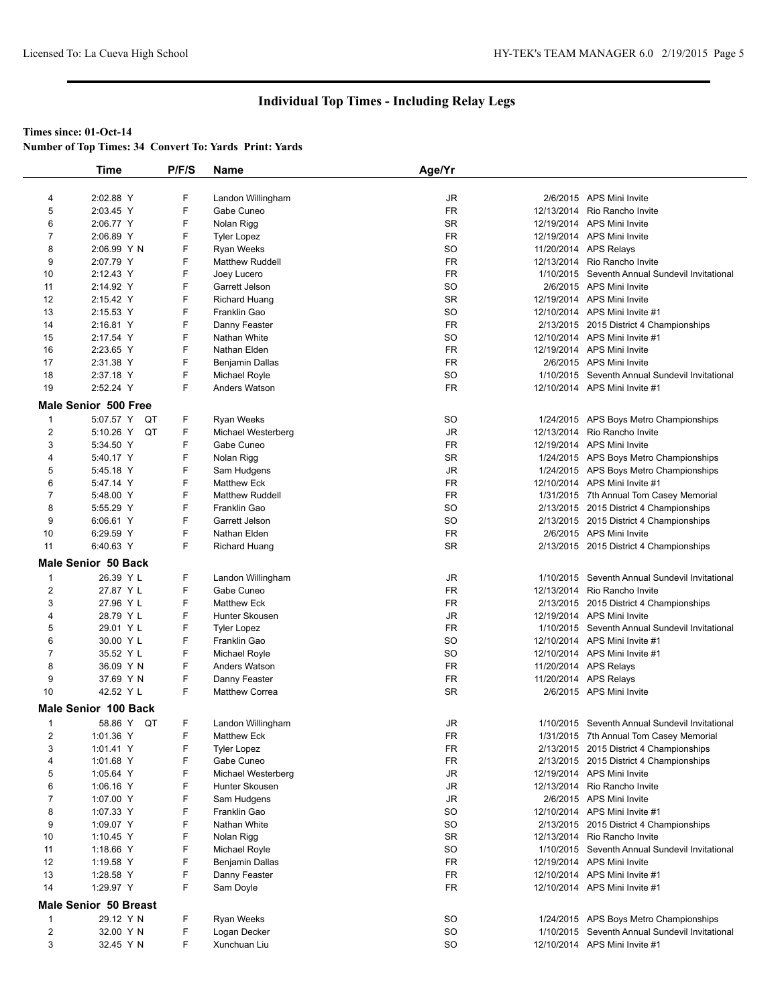## **Times since: 01-Oct-14**

|                         | <b>Time</b>                  | P/F/S | Name                   | Age/Yr                 |                                                |
|-------------------------|------------------------------|-------|------------------------|------------------------|------------------------------------------------|
|                         |                              |       |                        |                        |                                                |
| 4                       | 2:02.88 Y                    | F     | Landon Willingham      | JR                     | 2/6/2015 APS Mini Invite                       |
| 5                       | 2:03.45 Y                    | F     | Gabe Cuneo             | <b>FR</b>              | 12/13/2014 Rio Rancho Invite                   |
| 6                       | 2:06.77 Y                    | F     | Nolan Rigg             | SR                     | 12/19/2014 APS Mini Invite                     |
| 7                       | 2:06.89 Y                    | F     | <b>Tyler Lopez</b>     | FR                     | 12/19/2014 APS Mini Invite                     |
| 8                       | 2:06.99 Y N                  | F     | <b>Ryan Weeks</b>      | <b>SO</b>              | 11/20/2014 APS Relays                          |
| 9                       | 2:07.79 Y                    | F     | <b>Matthew Ruddell</b> | FR                     | 12/13/2014 Rio Rancho Invite                   |
| 10                      | 2:12.43 Y                    | F     | Joey Lucero            | FR                     | 1/10/2015 Seventh Annual Sundevil Invitational |
| 11                      | 2:14.92 Y                    | F     | Garrett Jelson         | <b>SO</b>              | 2/6/2015 APS Mini Invite                       |
| 12                      | 2:15.42 Y                    | F     | <b>Richard Huang</b>   | SR                     | 12/19/2014 APS Mini Invite                     |
| 13                      | 2:15.53 Y                    | F     | Franklin Gao           | <b>SO</b>              | 12/10/2014 APS Mini Invite #1                  |
| 14                      | 2:16.81 Y                    | F     | Danny Feaster          | FR                     | 2/13/2015 2015 District 4 Championships        |
| 15                      | 2:17.54 Y                    | F     | Nathan White           | <b>SO</b>              | 12/10/2014 APS Mini Invite #1                  |
| 16                      | 2:23.65 Y                    | F     | Nathan Elden           | FR                     | 12/19/2014 APS Mini Invite                     |
| 17                      | 2:31.38 Y                    | F     | Benjamin Dallas        | FR                     | 2/6/2015 APS Mini Invite                       |
| 18                      | 2:37.18 Y                    | F     | Michael Royle          | <b>SO</b>              | 1/10/2015 Seventh Annual Sundevil Invitational |
| 19                      | 2:52.24 Y                    | F     | Anders Watson          | FR                     | 12/10/2014 APS Mini Invite #1                  |
|                         | Male Senior 500 Free         |       |                        |                        |                                                |
|                         |                              |       |                        |                        |                                                |
| -1                      | 5:07.57 Y<br>QT              | F     | Ryan Weeks             | SO                     | 1/24/2015 APS Boys Metro Championships         |
| 2                       | 5:10.26 Y<br>QT              | F     | Michael Westerberg     | JR                     | 12/13/2014 Rio Rancho Invite                   |
| 3                       | 5:34.50 Y                    | F     | Gabe Cuneo             | <b>FR</b>              | 12/19/2014 APS Mini Invite                     |
| 4                       | 5:40.17 Y                    | F     | Nolan Rigg             | SR                     | 1/24/2015 APS Boys Metro Championships         |
| 5                       | 5:45.18 Y                    | F     | Sam Hudgens            | $\mathsf{J}\mathsf{R}$ | 1/24/2015 APS Boys Metro Championships         |
| 6                       | 5:47.14 Y                    | F     | <b>Matthew Eck</b>     | FR                     | 12/10/2014 APS Mini Invite #1                  |
| 7                       | 5:48.00 Y                    | F     | <b>Matthew Ruddell</b> | FR                     | 1/31/2015 7th Annual Tom Casey Memorial        |
| 8                       | 5:55.29 Y                    | F     | Franklin Gao           | <b>SO</b>              | 2/13/2015 2015 District 4 Championships        |
| 9                       | 6:06.61 Y                    | F     | Garrett Jelson         | <b>SO</b>              | 2/13/2015 2015 District 4 Championships        |
| 10                      | 6:29.59 Y                    | F     | Nathan Elden           | FR                     | 2/6/2015 APS Mini Invite                       |
| 11                      | 6:40.63 Y                    | F     | Richard Huang          | <b>SR</b>              | 2/13/2015 2015 District 4 Championships        |
|                         | <b>Male Senior 50 Back</b>   |       |                        |                        |                                                |
| 1                       | 26.39 Y L                    | F     | Landon Willingham      | JR                     | 1/10/2015 Seventh Annual Sundevil Invitational |
| $\overline{c}$          | 27.87 Y L                    | F     | Gabe Cuneo             | FR                     | 12/13/2014 Rio Rancho Invite                   |
| 3                       | 27.96 Y L                    | F     | <b>Matthew Eck</b>     | FR                     | 2/13/2015 2015 District 4 Championships        |
| 4                       | 28.79 Y L                    | F     | Hunter Skousen         | JR                     | 12/19/2014 APS Mini Invite                     |
| 5                       | 29.01 Y L                    | F     | <b>Tyler Lopez</b>     | <b>FR</b>              | 1/10/2015 Seventh Annual Sundevil Invitational |
| 6                       | 30.00 Y L                    | F     | Franklin Gao           | <b>SO</b>              | 12/10/2014 APS Mini Invite #1                  |
| 7                       | 35.52 Y L                    | F     | Michael Royle          | <b>SO</b>              | 12/10/2014 APS Mini Invite #1                  |
| 8                       | 36.09 Y N                    | F     | Anders Watson          | FR                     | 11/20/2014 APS Relays                          |
| 9                       | 37.69 Y N                    | F     | Danny Feaster          | FR                     | 11/20/2014 APS Relays                          |
| 10                      | 42.52 Y L                    | F     | <b>Matthew Correa</b>  | SR                     | 2/6/2015 APS Mini Invite                       |
|                         | Male Senior 100 Back         |       |                        |                        |                                                |
| 1                       | 58.86 Y QT                   | F     | Landon Willingham      | JR                     | 1/10/2015 Seventh Annual Sundevil Invitational |
| 2                       | 1:01.36 Y                    | F     | <b>Matthew Eck</b>     | <b>FR</b>              | 1/31/2015 7th Annual Tom Casey Memorial        |
| 3                       | 1:01.41 Y                    | F     | <b>Tyler Lopez</b>     | FR                     | 2/13/2015 2015 District 4 Championships        |
| 4                       | 1:01.68 Y                    | F     | Gabe Cuneo             | FR                     | 2/13/2015 2015 District 4 Championships        |
| 5                       | 1:05.64 Y                    | F     | Michael Westerberg     | JR                     | 12/19/2014 APS Mini Invite                     |
| 6                       | 1:06.16 Y                    | F     | Hunter Skousen         | JR                     | 12/13/2014 Rio Rancho Invite                   |
| 7                       | 1:07.00 Y                    | F     | Sam Hudgens            | JR                     | 2/6/2015 APS Mini Invite                       |
| 8                       | 1:07.33 Y                    | F     | Franklin Gao           | SO                     | 12/10/2014 APS Mini Invite #1                  |
| 9                       | 1:09.07 Y                    | F     | Nathan White           | SO                     | 2/13/2015 2015 District 4 Championships        |
| 10                      | 1:10.45 Y                    | F     | Nolan Rigg             | SR                     | 12/13/2014 Rio Rancho Invite                   |
| 11                      | 1:18.66 Y                    | F     | Michael Royle          | SO                     | 1/10/2015 Seventh Annual Sundevil Invitational |
| 12                      | 1:19.58 Y                    | F     | <b>Benjamin Dallas</b> | FR                     | 12/19/2014 APS Mini Invite                     |
| 13                      | 1:28.58 Y                    | F     | Danny Feaster          | FR                     | 12/10/2014 APS Mini Invite #1                  |
| 14                      | 1:29.97 Y                    | F     | Sam Doyle              | <b>FR</b>              | 12/10/2014 APS Mini Invite #1                  |
|                         |                              |       |                        |                        |                                                |
|                         | <b>Male Senior 50 Breast</b> |       |                        |                        |                                                |
| $\mathbf{1}$            | 29.12 Y N                    | F     | Ryan Weeks             | <b>SO</b>              | 1/24/2015 APS Boys Metro Championships         |
| $\overline{\mathbf{c}}$ | 32.00 Y N                    | F     | Logan Decker           | SO                     | 1/10/2015 Seventh Annual Sundevil Invitational |
| 3                       | 32.45 Y N                    | F.    | Xunchuan Liu           | <b>SO</b>              | 12/10/2014 APS Mini Invite #1                  |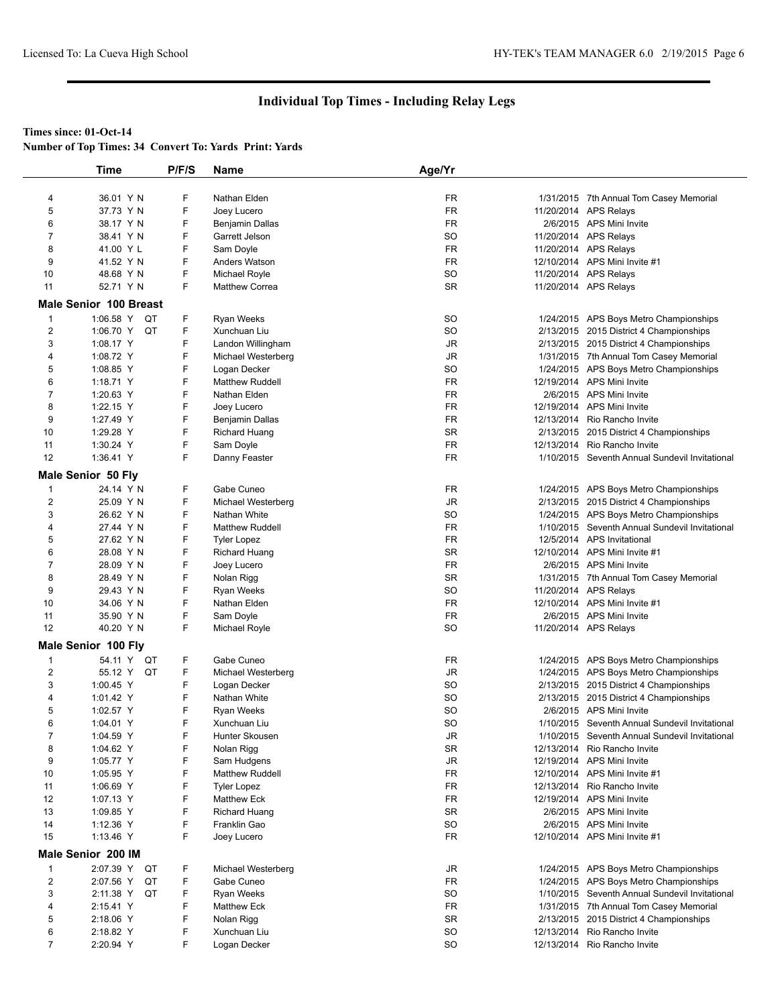### **Times since: 01-Oct-14**

**Number of Top Times: 34 Convert To: Yards Print: Yards**

|                         | <b>Time</b>                                      | P/F/S | Name                   | Age/Yr    |                                                |
|-------------------------|--------------------------------------------------|-------|------------------------|-----------|------------------------------------------------|
|                         |                                                  |       |                        |           |                                                |
| 4                       | 36.01 Y N                                        | F     | Nathan Elden           | <b>FR</b> | 1/31/2015 7th Annual Tom Casey Memorial        |
| 5                       | 37.73 Y N                                        | F     | Joey Lucero            | <b>FR</b> | 11/20/2014 APS Relays                          |
| 6                       | 38.17 Y N                                        | F     | Benjamin Dallas        | FR        | 2/6/2015 APS Mini Invite                       |
| 7                       | 38.41 Y N                                        | F     | Garrett Jelson         | <b>SO</b> | 11/20/2014 APS Relays                          |
| 8                       | 41.00 Y L                                        | F     | Sam Doyle              | <b>FR</b> | 11/20/2014 APS Relays                          |
| 9                       | 41.52 Y N                                        | F     | <b>Anders Watson</b>   | <b>FR</b> | 12/10/2014 APS Mini Invite #1                  |
| 10                      | 48.68 Y N                                        | F     | Michael Royle          | <b>SO</b> | 11/20/2014 APS Relays                          |
| 11                      | 52.71 Y N                                        | F.    | <b>Matthew Correa</b>  | <b>SR</b> | 11/20/2014 APS Relays                          |
|                         |                                                  |       |                        |           |                                                |
| $\mathbf{1}$            | <b>Male Senior 100 Breast</b><br>1:06.58 Y<br>QT | F     | Ryan Weeks             | <b>SO</b> | 1/24/2015 APS Boys Metro Championships         |
| $\overline{2}$          | 1:06.70 Y<br>QT                                  | F     | Xunchuan Liu           | <b>SO</b> |                                                |
|                         |                                                  |       |                        |           | 2/13/2015 2015 District 4 Championships        |
| 3                       | 1:08.17 Y                                        | F     | Landon Willingham      | JR        | 2/13/2015 2015 District 4 Championships        |
| 4                       | 1:08.72 Y                                        | F     | Michael Westerberg     | JR        | 1/31/2015 7th Annual Tom Casey Memorial        |
| 5                       | 1:08.85 Y                                        | F     | Logan Decker           | <b>SO</b> | 1/24/2015 APS Boys Metro Championships         |
| 6                       | 1:18.71 Y                                        | F     | <b>Matthew Ruddell</b> | <b>FR</b> | 12/19/2014 APS Mini Invite                     |
| $\overline{7}$          | 1:20.63 Y                                        | F     | Nathan Elden           | <b>FR</b> | 2/6/2015 APS Mini Invite                       |
| 8                       | 1:22.15 Y                                        | F     | Joey Lucero            | <b>FR</b> | 12/19/2014 APS Mini Invite                     |
| 9                       | 1:27.49 Y                                        | F     | Benjamin Dallas        | <b>FR</b> | 12/13/2014 Rio Rancho Invite                   |
| 10                      | 1:29.28 Y                                        | F     | <b>Richard Huang</b>   | <b>SR</b> | 2/13/2015 2015 District 4 Championships        |
| 11                      | 1:30.24 Y                                        | F     | Sam Doyle              | <b>FR</b> | 12/13/2014 Rio Rancho Invite                   |
| 12                      | 1:36.41 Y                                        | F     | Danny Feaster          | <b>FR</b> | 1/10/2015 Seventh Annual Sundevil Invitational |
|                         | <b>Male Senior 50 Fly</b>                        |       |                        |           |                                                |
| 1                       | 24.14 Y N                                        | F     | Gabe Cuneo             | FR        | 1/24/2015 APS Boys Metro Championships         |
| $\overline{\mathbf{c}}$ | 25.09 Y N                                        | F     | Michael Westerberg     | JR        | 2/13/2015 2015 District 4 Championships        |
| 3                       | 26.62 Y N                                        | F     | Nathan White           | <b>SO</b> | 1/24/2015 APS Boys Metro Championships         |
| 4                       | 27.44 Y N                                        | F     | <b>Matthew Ruddell</b> | <b>FR</b> | 1/10/2015 Seventh Annual Sundevil Invitational |
|                         |                                                  | F     |                        | <b>FR</b> |                                                |
| 5                       | 27.62 Y N                                        |       | <b>Tyler Lopez</b>     |           | 12/5/2014 APS Invitational                     |
| 6                       | 28.08 Y N                                        | F     | <b>Richard Huang</b>   | <b>SR</b> | 12/10/2014 APS Mini Invite #1                  |
| $\overline{7}$          | 28.09 Y N                                        | F     | Joey Lucero            | <b>FR</b> | 2/6/2015 APS Mini Invite                       |
| 8                       | 28.49 Y N                                        | F     | Nolan Rigg             | <b>SR</b> | 1/31/2015 7th Annual Tom Casey Memorial        |
| 9                       | 29.43 Y N                                        | F     | <b>Ryan Weeks</b>      | <b>SO</b> | 11/20/2014 APS Relays                          |
| 10                      | 34.06 Y N                                        | F     | Nathan Elden           | <b>FR</b> | 12/10/2014 APS Mini Invite #1                  |
| 11                      | 35.90 Y N                                        | F     | Sam Doyle              | <b>FR</b> | 2/6/2015 APS Mini Invite                       |
| 12                      | 40.20 Y N                                        | F     | Michael Royle          | <b>SO</b> | 11/20/2014 APS Relays                          |
|                         | Male Senior 100 Fly                              |       |                        |           |                                                |
| 1                       | 54.11 Y<br>QT                                    | F     | Gabe Cuneo             | FR        | 1/24/2015 APS Boys Metro Championships         |
| 2                       | 55.12 Y QT                                       | F     | Michael Westerberg     | JR        | 1/24/2015 APS Boys Metro Championships         |
| 3                       | 1:00.45 Y                                        | F     | Logan Decker           | <b>SO</b> |                                                |
|                         |                                                  | F     |                        |           | 2/13/2015 2015 District 4 Championships        |
| 4                       | 1:01.42 Y                                        |       | Nathan White           | <b>SO</b> | 2/13/2015 2015 District 4 Championships        |
| 5                       | 1:02.57 Y                                        | F     | <b>Ryan Weeks</b>      | <b>SO</b> | 2/6/2015 APS Mini Invite                       |
| 6                       | 1:04.01 Y                                        | F     | Xunchuan Liu           | <b>SO</b> | 1/10/2015 Seventh Annual Sundevil Invitational |
| $\overline{7}$          | 1:04.59 Y                                        | F     | Hunter Skousen         | JR        | 1/10/2015 Seventh Annual Sundevil Invitational |
| 8                       | 1:04.62 Y                                        | F     | Nolan Rigg             | <b>SR</b> | 12/13/2014 Rio Rancho Invite                   |
| 9                       | 1:05.77 Y                                        | F     | Sam Hudgens            | <b>JR</b> | 12/19/2014 APS Mini Invite                     |
| 10                      | 1:05.95 Y                                        | F     | <b>Matthew Ruddell</b> | <b>FR</b> | 12/10/2014 APS Mini Invite #1                  |
| 11                      | 1:06.69 Y                                        | F     | <b>Tyler Lopez</b>     | FR        | 12/13/2014 Rio Rancho Invite                   |
| 12                      | 1:07.13 Y                                        | F     | <b>Matthew Eck</b>     | <b>FR</b> | 12/19/2014 APS Mini Invite                     |
| 13                      | 1:09.85 Y                                        | F     | <b>Richard Huang</b>   | SR        | 2/6/2015 APS Mini Invite                       |
| 14                      | 1:12.36 Y                                        | F     | Franklin Gao           | <b>SO</b> | 2/6/2015 APS Mini Invite                       |
| 15                      | 1:13.46 Y                                        | F.    | Joey Lucero            | <b>FR</b> | 12/10/2014 APS Mini Invite #1                  |
|                         |                                                  |       |                        |           |                                                |
| 1                       | Male Senior 200 IM<br>2:07.39 Y<br>QT            | F.    | Michael Westerberg     | JR        | 1/24/2015 APS Boys Metro Championships         |
| $\overline{\mathbf{c}}$ | 2:07.56 Y<br>QT                                  | F     | Gabe Cuneo             | FR        | 1/24/2015 APS Boys Metro Championships         |
|                         |                                                  |       |                        |           |                                                |
| 3                       | 2:11.38 Y QT                                     | F     | Ryan Weeks             | <b>SO</b> | 1/10/2015 Seventh Annual Sundevil Invitational |
| 4                       | 2:15.41 Y                                        | F     | <b>Matthew Eck</b>     | FR        | 1/31/2015 7th Annual Tom Casey Memorial        |
| 5                       | 2:18.06 Y                                        | F     | Nolan Rigg             | <b>SR</b> | 2/13/2015 2015 District 4 Championships        |
| 6                       | 2:18.82 Y                                        | F     | Xunchuan Liu           | <b>SO</b> | 12/13/2014 Rio Rancho Invite                   |
| $\overline{7}$          | 2:20.94 Y                                        | F     | Logan Decker           | <b>SO</b> | 12/13/2014 Rio Rancho Invite                   |